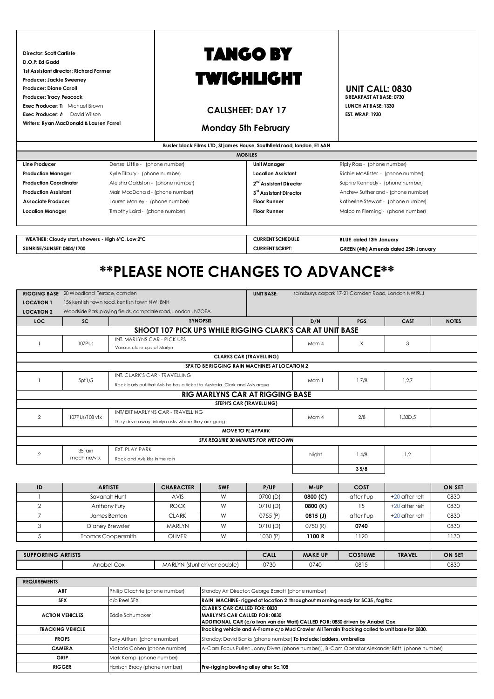**Director: Scott Carlisle D.O.P: Ed Gadd 1st Assistant director: Richard Farmer Producer: Jackie Sweeney** Producer: Diane Caroll<br>Producer: Tracy Peacock<br>Producer: Tracy Peacock<br>**Producer: Tracy Peacock**  $Producter: Tracy Peacock$ **Exec Producer: Tracy Brown Michael Brown Contract Development Contract Development Contract Development Contract Development Contract Development Contract Development Contract Development Contract Development Contract Dev Exec Producer: A** David Wilson **Exect Producer: A** David Wilson **Exect Producer: A** David Wilson **Writers: Ryan MacDonald & Lauren Farrel**

# TANGO BY TWIGHLIGHT

### **CALLSHEET: DAY 17**

### **Monday 5th February**

|                               | Buster block Films LTD, St james House, Southfield road, london, E1 6AN |                                    |                                    |  |  |  |  |  |
|-------------------------------|-------------------------------------------------------------------------|------------------------------------|------------------------------------|--|--|--|--|--|
|                               |                                                                         | <b>MOBILES</b>                     |                                    |  |  |  |  |  |
| Line Producer                 | Denzel Little - (phone number)                                          | <b>Unit Manager</b>                | Riply Ross - (phone number)        |  |  |  |  |  |
| <b>Production Manager</b>     | Kyrie Tilbury - (phone number)                                          | <b>Location Assistant</b>          | Richie McAlister - (phone number)  |  |  |  |  |  |
| <b>Production Coordinator</b> | Aleisha Galdston - (phone number)                                       | 2 <sup>nd</sup> Assistant Director | Sophie Kennedy - (phone number)    |  |  |  |  |  |
| <b>Production Assistant</b>   | Mairi MacDonald - (phone number)                                        | 3 <sup>rd</sup> Assistant Director | Andrew Sutherland - (phone number) |  |  |  |  |  |
| Associate Producer            | Lauren Manley - (phone number)                                          | <b>Floor Runner</b>                | Katherine Stewart - (phone number) |  |  |  |  |  |
| <b>Location Manager</b>       | Timothy Laird - (phone number)                                          | <b>Floor Runner</b>                | Malcolm Fleming - (phone number)   |  |  |  |  |  |
|                               |                                                                         |                                    |                                    |  |  |  |  |  |
|                               |                                                                         |                                    |                                    |  |  |  |  |  |

**BLUE dated 13th January GREEN (4th) Amends dated 25th January WEATHER: Cloudy start, showers - High 6°C, Low 2°C SUNRISE/SUNSET: 0804/1700 CURRENT SCRIPT: CURRENT SCHEDULE**

## **\*\*PLEASE NOTE CHANGES TO ADVANCE\*\***

|                   | <b>RIGGING BASE</b> 20 Woodland Terrace, camden |                                |                                                                              |            | <b>UNIT BASE:</b>                                    | sainsburys carpark 17-21 Camden Road, London NW!9LJ |            |                 |               |  |
|-------------------|-------------------------------------------------|--------------------------------|------------------------------------------------------------------------------|------------|------------------------------------------------------|-----------------------------------------------------|------------|-----------------|---------------|--|
| <b>LOCATION 1</b> | 156 kentish town road, kentish town NW! 8NH     |                                |                                                                              |            |                                                      |                                                     |            |                 |               |  |
| <b>LOCATION 2</b> |                                                 |                                | Woodside Park playing fields, campdale road, London, N7OEA                   |            |                                                      |                                                     |            |                 |               |  |
| LOC               | <b>SC</b>                                       |                                | <b>SYNOPSIS</b>                                                              |            |                                                      | D/N                                                 | <b>PGS</b> | <b>CAST</b>     | <b>NOTES</b>  |  |
|                   |                                                 |                                | <b>SHOOT 107 PICK UPS WHILE RIGGING CLARK'S CAR AT UNIT BASE</b>             |            |                                                      |                                                     |            |                 |               |  |
|                   | 107PUs                                          | INT. MARLYNS CAR - PICK UPS    |                                                                              |            |                                                      | Mom 4                                               | $\times$   | 3               |               |  |
|                   | Various close ups of Marlyn                     |                                |                                                                              |            |                                                      |                                                     |            |                 |               |  |
|                   |                                                 |                                |                                                                              |            | <b>CLARKS CAR (TRAVELLING)</b>                       |                                                     |            |                 |               |  |
|                   |                                                 |                                |                                                                              |            | <b>SFX TO BE RIGGING RAIN MACHINES AT LOCATION 2</b> |                                                     |            |                 |               |  |
|                   | 5pt1/5                                          |                                | INT. CLARK'S CAR - TRAVELLING                                                |            |                                                      | Mom 1                                               | 17/8       | 1,2,7           |               |  |
|                   |                                                 |                                | Rock blurts out that Avis he has a ticket to Australia. Clark and Avis argue |            |                                                      |                                                     |            |                 |               |  |
|                   |                                                 |                                |                                                                              |            | RIG MARLYNS CAR AT RIGGING BASE                      |                                                     |            |                 |               |  |
|                   |                                                 |                                |                                                                              |            | STEPH'S CAR (TRAVELLING)                             |                                                     |            |                 |               |  |
| $\overline{2}$    | 107PUs/108 vfx                                  |                                | INT/EXT MARLYNS CAR - TRAVELLING                                             |            |                                                      | Mom 4                                               | 2/8        | 1,33D,5         |               |  |
|                   |                                                 |                                | They drive away, Marlyn asks where they are going                            |            |                                                      |                                                     |            |                 |               |  |
|                   |                                                 |                                |                                                                              |            | <b>MOVE TO PLAYPARK</b>                              |                                                     |            |                 |               |  |
|                   |                                                 |                                |                                                                              |            | SFX REQUIRE 30 MINUTES FOR WET DOWN                  |                                                     |            |                 |               |  |
| $\overline{2}$    | 35 rain                                         | FXT. PI AY PARK                |                                                                              |            |                                                      | Night                                               | 14/8       | 1,2             |               |  |
|                   | machine/vfx                                     | Rock and Avis kiss in the rain |                                                                              |            |                                                      |                                                     |            |                 |               |  |
|                   |                                                 |                                |                                                                              |            |                                                      |                                                     | 35/8       |                 |               |  |
|                   |                                                 |                                |                                                                              |            |                                                      |                                                     |            |                 |               |  |
| ID                |                                                 | <b>ARTISTE</b>                 | <b>CHARACTER</b>                                                             | <b>SWF</b> | P/UP                                                 | M-UP                                                | COST       |                 | <b>ON SET</b> |  |
|                   | Savanah Hunt                                    |                                | AVIS                                                                         | W          | 0700(D)                                              | 0800 (C)                                            | after l'up | $+20$ after reh | 0830          |  |
| 2                 |                                                 | Anthony Fury                   | <b>ROCK</b>                                                                  | W          | 0710(D)                                              | 0800 (K)                                            | 15         | $+20$ after reh | 0830          |  |
| $\overline{7}$    |                                                 | James Benton                   | <b>CLARK</b>                                                                 | W          | 0755 (P)                                             | 0815(J)                                             | after l'up | $+20$ after reh | 0830          |  |
| 3                 |                                                 | Dianey Brewster                | <b>MARLYN</b>                                                                | W          | 0710(D)                                              | 0750 (R)                                            | 0740       |                 | 0830          |  |
| .5                |                                                 | <b>Thomas Coopersmith</b>      | <b>OLIVER</b>                                                                | W          | 1030 (P)                                             | 1100 R                                              | 1120       |                 | 1130          |  |

| <b>ARTISTS</b><br><b>SUPPORTING</b> |            |                                       | CALL | <b>MAKE UP</b> | <b>COSTUME</b> | <b>TRAVEL</b> | <b>ON SET</b> |
|-------------------------------------|------------|---------------------------------------|------|----------------|----------------|---------------|---------------|
|                                     | Anabel Cox | MARL<br>v٨<br>l (stunt driver double) | 0730 | 0740           | 0815           |               | 0830          |

**REQUIREMENTS**

| <b>ART</b>              | Philip Clachrie (phone number) | Standby Art Director: George Barratt (phone number)                                                                                                  |
|-------------------------|--------------------------------|------------------------------------------------------------------------------------------------------------------------------------------------------|
| <b>SFX</b>              | c/o Reel SFX                   | RAIN MACHINE-rigged at location 2 throughout morning ready for SC35, fog tbc                                                                         |
| <b>ACTION VEHICLES</b>  | <b>Fddie Schumaker</b>         | <b>CLARK'S CAR CALLED FOR: 0830</b><br>MARLYN'S CAR CALLED FOR: 0830<br>ADDITIONAL CAR (c/o Ivan van der Watt) CALLED FOR: 0830 driven by Anabel Cox |
| <b>TRACKING VEHICLE</b> |                                | Tracking vehicle and A-Frame c/o Mud Crawler All Terrain Tracking called to unit base for 0830.                                                      |
| <b>PROPS</b>            | Tony Aitken (phone number)     | Standby: David Banks (phone number) To include: ladders, umbrellas                                                                                   |
| <b>CAMERA</b>           | Victoria Cohen (phone number)  | A-Cam Focus Puller: Jonny Divers (phone number)), B-Cam Operator Alexander Britt (phone number)                                                      |
| GRIP                    | Mark Kemp (phone number)       |                                                                                                                                                      |
| <b>RIGGER</b>           | Harrison Brady (phone number)  | Pre-rigging bowling alley after Sc.108                                                                                                               |